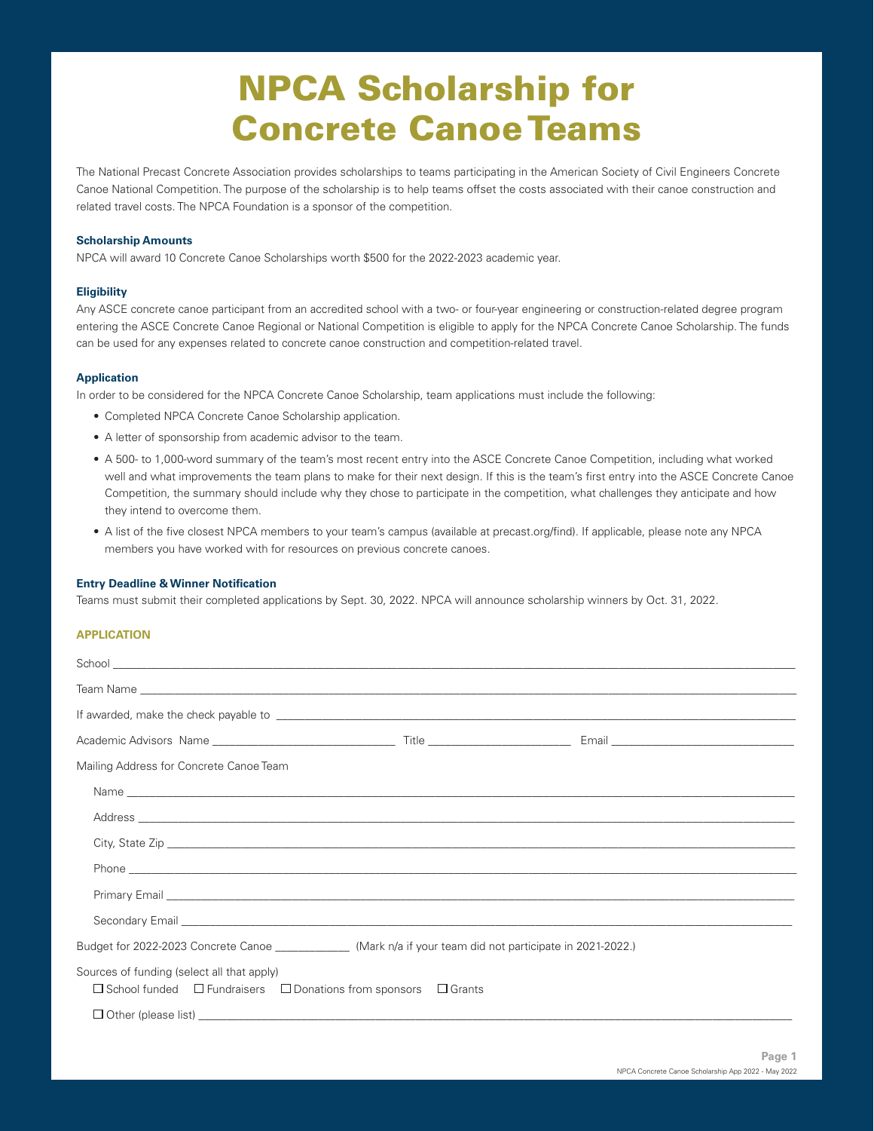# NPCA Scholarship for Concrete Canoe Teams

The National Precast Concrete Association provides scholarships to teams participating in the American Society of Civil Engineers Concrete Canoe National Competition. The purpose of the scholarship is to help teams offset the costs associated with their canoe construction and related travel costs. The NPCA Foundation is a sponsor of the competition.

## **Scholarship Amounts**

NPCA will award 10 Concrete Canoe Scholarships worth \$500 for the 2022-2023 academic year.

## **Eligibility**

Any ASCE concrete canoe participant from an accredited school with a two- or four-year engineering or construction-related degree program entering the ASCE Concrete Canoe Regional or National Competition is eligible to apply for the NPCA Concrete Canoe Scholarship. The funds can be used for any expenses related to concrete canoe construction and competition-related travel.

# **Application**

In order to be considered for the NPCA Concrete Canoe Scholarship, team applications must include the following:

- Completed NPCA Concrete Canoe Scholarship application.
- A letter of sponsorship from academic advisor to the team.
- A 500- to 1,000-word summary of the team's most recent entry into the ASCE Concrete Canoe Competition, including what worked well and what improvements the team plans to make for their next design. If this is the team's first entry into the ASCE Concrete Canoe Competition, the summary should include why they chose to participate in the competition, what challenges they anticipate and how they intend to overcome them.
- A list of the five closest NPCA members to your team's campus (available at precast.org/find). If applicable, please note any NPCA members you have worked with for resources on previous concrete canoes.

#### **Entry Deadline & Winner Notification**

Teams must submit their completed applications by Sept. 30, 2022. NPCA will announce scholarship winners by Oct. 31, 2022.

### **APPLICATION**

| Mailing Address for Concrete Canoe Team                                                                                                                                                                                              |  |  |  |  |  |  |  |
|--------------------------------------------------------------------------------------------------------------------------------------------------------------------------------------------------------------------------------------|--|--|--|--|--|--|--|
|                                                                                                                                                                                                                                      |  |  |  |  |  |  |  |
|                                                                                                                                                                                                                                      |  |  |  |  |  |  |  |
|                                                                                                                                                                                                                                      |  |  |  |  |  |  |  |
|                                                                                                                                                                                                                                      |  |  |  |  |  |  |  |
|                                                                                                                                                                                                                                      |  |  |  |  |  |  |  |
| Secondary Email <b>Executive Contract Contract Contract Contract Contract Contract Contract Contract Contract Contract Contract Contract Contract Contract Contract Contract Contract Contract Contract Contract Contract Contra</b> |  |  |  |  |  |  |  |
| Budget for 2022-2023 Concrete Canoe ______________(Mark n/a if your team did not participate in 2021-2022.)                                                                                                                          |  |  |  |  |  |  |  |
| Sources of funding (select all that apply)<br>$\Box$ School funded $\Box$ Fundraisers $\Box$ Donations from sponsors $\Box$ Grants                                                                                                   |  |  |  |  |  |  |  |
|                                                                                                                                                                                                                                      |  |  |  |  |  |  |  |